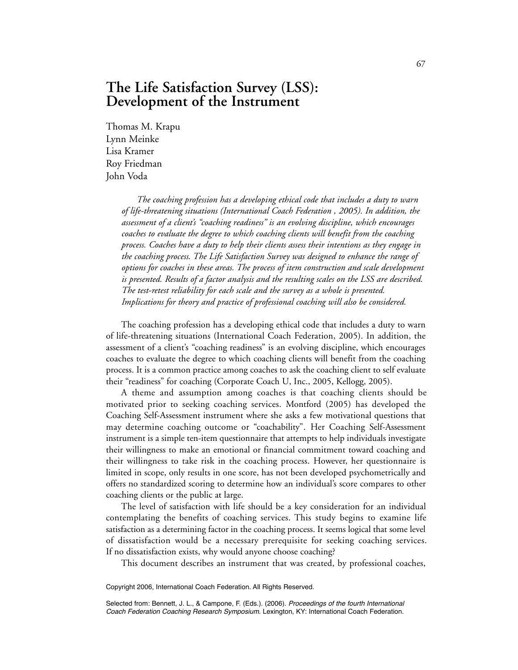# **The Life Satisfaction Survey (LSS): Development of the Instrument**

Thomas M. Krapu Lynn Meinke Lisa Kramer Roy Friedman John Voda

> *The coaching profession has a developing ethical code that includes a duty to warn of life-threatening situations (International Coach Federation , 2005). In addition, the assessment of a client's "coaching readiness" is an evolving discipline, which encourages coaches to evaluate the degree to which coaching clients will benefit from the coaching process. Coaches have a duty to help their clients assess their intentions as they engage in the coaching process. The Life Satisfaction Survey was designed to enhance the range of options for coaches in these areas. The process of item construction and scale development is presented. Results of a factor analysis and the resulting scales on the LSS are described. The test-retest reliability for each scale and the survey as a whole is presented. Implications for theory and practice of professional coaching will also be considered.*

The coaching profession has a developing ethical code that includes a duty to warn of life-threatening situations (International Coach Federation, 2005). In addition, the assessment of a client's "coaching readiness" is an evolving discipline, which encourages coaches to evaluate the degree to which coaching clients will benefit from the coaching process. It is a common practice among coaches to ask the coaching client to self evaluate their "readiness" for coaching (Corporate Coach U, Inc., 2005, Kellogg, 2005).

A theme and assumption among coaches is that coaching clients should be motivated prior to seeking coaching services. Montford (2005) has developed the Coaching Self-Assessment instrument where she asks a few motivational questions that may determine coaching outcome or "coachability". Her Coaching Self-Assessment instrument is a simple ten-item questionnaire that attempts to help individuals investigate their willingness to make an emotional or financial commitment toward coaching and their willingness to take risk in the coaching process. However, her questionnaire is limited in scope, only results in one score, has not been developed psychometrically and offers no standardized scoring to determine how an individual's score compares to other coaching clients or the public at large.

The level of satisfaction with life should be a key consideration for an individual contemplating the benefits of coaching services. This study begins to examine life satisfaction as a determining factor in the coaching process. It seems logical that some level of dissatisfaction would be a necessary prerequisite for seeking coaching services. If no dissatisfaction exists, why would anyone choose coaching?

This document describes an instrument that was created, by professional coaches,

Copyright 2006, International Coach Federation. All Rights Reserved.

Selected from: Bennett, J. L., & Campone, F. (Eds.). (2006). Proceedings of the fourth International Coach Federation Coaching Research Symposium. Lexington, KY: International Coach Federation.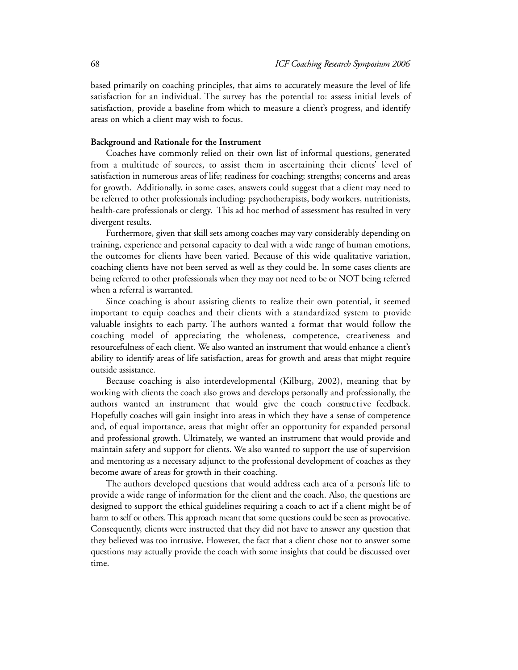based primarily on coaching principles, that aims to accurately measure the level of life satisfaction for an individual. The survey has the potential to: assess initial levels of satisfaction, provide a baseline from which to measure a client's progress, and identify areas on which a client may wish to focus.

#### **Background and Rationale for the Instrument**

Coaches have commonly relied on their own list of informal questions, generated from a multitude of sources, to assist them in ascertaining their clients' level of satisfaction in numerous areas of life; readiness for coaching; strengths; concerns and areas for growth. Additionally, in some cases, answers could suggest that a client may need to be referred to other professionals including: psychotherapists, body workers, nutritionists, health-care professionals or clergy. This ad hoc method of assessment has resulted in very divergent results.

Furthermore, given that skill sets among coaches may vary considerably depending on training, experience and personal capacity to deal with a wide range of human emotions, the outcomes for clients have been varied. Because of this wide qualitative variation, coaching clients have not been served as well as they could be. In some cases clients are being referred to other professionals when they may not need to be or NOT being referred when a referral is warranted.

Since coaching is about assisting clients to realize their own potential, it seemed important to equip coaches and their clients with a standardized system to provide valuable insights to each party. The authors wanted a format that would follow the coaching model of appreciating the wholeness, competence, creativeness and resourcefulness of each client. We also wanted an instrument that would enhance a client's ability to identify areas of life satisfaction, areas for growth and areas that might require outside assistance.

Because coaching is also interdevelopmental (Kilburg, 2002), meaning that by working with clients the coach also grows and develops personally and professionally, the authors wanted an instrument that would give the coach constructive feedback. Hopefully coaches will gain insight into areas in which they have a sense of competence and, of equal importance, areas that might offer an opportunity for expanded personal and professional growth. Ultimately, we wanted an instrument that would provide and maintain safety and support for clients. We also wanted to support the use of supervision and mentoring as a necessary adjunct to the professional development of coaches as they become aware of areas for growth in their coaching.

The authors developed questions that would address each area of a person's life to provide a wide range of information for the client and the coach. Also, the questions are designed to support the ethical guidelines requiring a coach to act if a client might be of harm to self or others. This approach meant that some questions could be seen as provocative. Consequently, clients were instructed that they did not have to answer any question that they believed was too intrusive. However, the fact that a client chose not to answer some questions may actually provide the coach with some insights that could be discussed over time.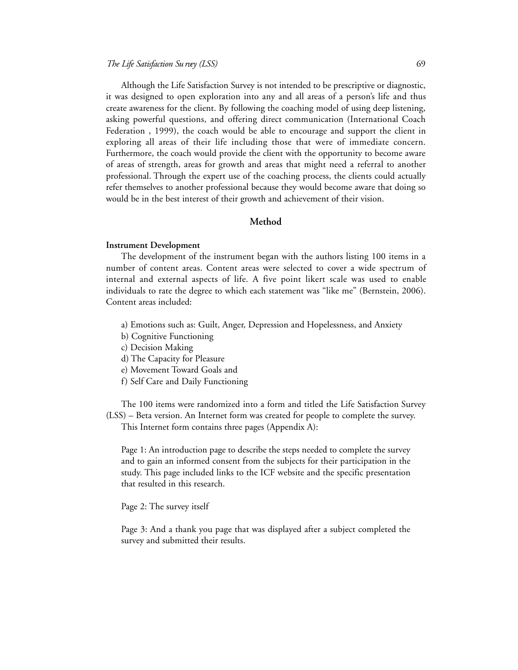Although the Life Satisfaction Survey is not intended to be prescriptive or diagnostic, it was designed to open exploration into any and all areas of a person's life and thus create awareness for the client. By following the coaching model of using deep listening, asking powerful questions, and offering direct communication (International Coach Federation , 1999), the coach would be able to encourage and support the client in exploring all areas of their life including those that were of immediate concern. Furthermore, the coach would provide the client with the opportunity to become aware of areas of strength, areas for growth and areas that might need a referral to another professional. Through the expert use of the coaching process, the clients could actually refer themselves to another professional because they would become aware that doing so would be in the best interest of their growth and achievement of their vision.

# **Method**

#### **Instrument Development**

The development of the instrument began with the authors listing 100 items in a number of content areas. Content areas were selected to cover a wide spectrum of internal and external aspects of life. A five point likert scale was used to enable individuals to rate the degree to which each statement was "like me" (Bernstein, 2006). Content areas included:

- a) Emotions such as: Guilt, Anger, Depression and Hopelessness, and Anxiety
- b) Cognitive Functioning
- c) Decision Making
- d) The Capacity for Pleasure
- e) Movement Toward Goals and
- f) Self Care and Daily Functioning

The 100 items were randomized into a form and titled the Life Satisfaction Survey (LSS) – Beta version. An Internet form was created for people to complete the survey. This Internet form contains three pages (Appendix A):

Page 1: An introduction page to describe the steps needed to complete the survey and to gain an informed consent from the subjects for their participation in the study. This page included links to the ICF website and the specific presentation that resulted in this research.

Page 2: The survey itself

Page 3: And a thank you page that was displayed after a subject completed the survey and submitted their results.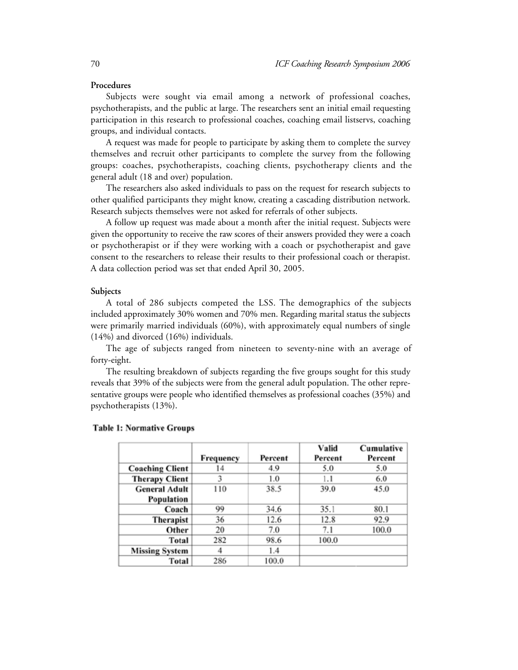#### **Procedures**

Subjects were sought via email among a network of professional coaches, psychotherapists, and the public at large. The researchers sent an initial email requesting participation in this research to professional coaches, coaching email listservs, coaching groups, and individual contacts.

A request was made for people to participate by asking them to complete the survey themselves and recruit other participants to complete the survey from the following groups: coaches, psychotherapists, coaching clients, psychotherapy clients and the general adult (18 and over) population.

The researchers also asked individuals to pass on the request for research subjects to other qualified participants they might know, creating a cascading distribution network. Research subjects themselves were not asked for referrals of other subjects.

A follow up request was made about a month after the initial request. Subjects were given the opportunity to receive the raw scores of their answers provided they were a coach or psychotherapist or if they were working with a coach or psychotherapist and gave consent to the researchers to release their results to their professional coach or therapist. A data collection period was set that ended April 30, 2005.

#### **Subjects**

A total of 286 subjects competed the LSS. The demographics of the subjects included approximately 30% women and 70% men. Regarding marital status the subjects were primarily married individuals (60%), with approximately equal numbers of single (14%) and divorced (16%) individuals.

The age of subjects ranged from nineteen to seventy-nine with an average of forty-eight.

The resulting breakdown of subjects regarding the five groups sought for this study reveals that 39% of the subjects were from the general adult population. The other representative groups were people who identified themselves as professional coaches (35%) and psychotherapists (13%).

|                        | Frequency | Percent | Valid<br>Percent | Cumulative<br>Percent |
|------------------------|-----------|---------|------------------|-----------------------|
| <b>Coaching Client</b> | 14        | 4.9     | 5.0              | 5.0                   |
| <b>Therapy Client</b>  | 3         | 1.0     | 1.1              | 6.0                   |
| <b>General Adult</b>   | 110       | 38.5    | 39.0             | 45.0                  |
| Population             |           |         |                  |                       |
| Coach                  | 99        | 34.6    | 35.1             | 80.1                  |
| Therapist              | 36        | 12.6    | 12.8             | 92.9                  |
| Other                  | 20        | 7.0     | 7.1              | 100.0                 |
| Total                  | 282       | 98.6    | 100.0            |                       |
| <b>Missing System</b>  | 4         | 1.4     |                  |                       |
| Total                  | 286       | 100.0   |                  |                       |

#### **Table 1: Normative Groups**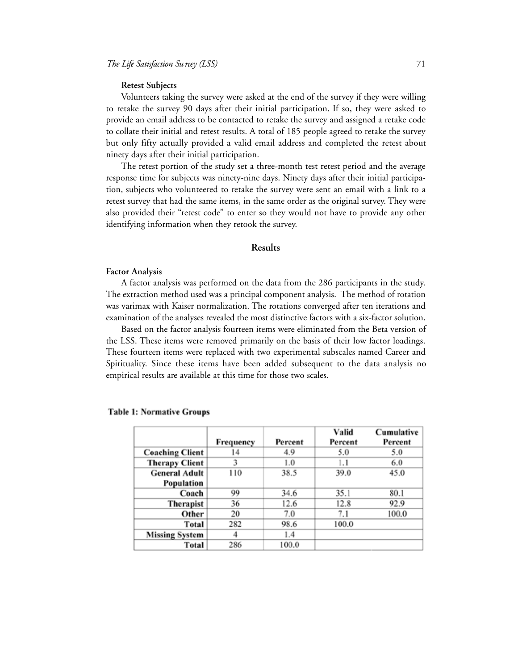#### **Retest Subjects**

Volunteers taking the survey were asked at the end of the survey if they were willing to retake the survey 90 days after their initial participation. If so, they were asked to provide an email address to be contacted to retake the survey and assigned a retake code to collate their initial and retest results. A total of 185 people agreed to retake the survey but only fifty actually provided a valid email address and completed the retest about ninety days after their initial participation.

The retest portion of the study set a three-month test retest period and the average response time for subjects was ninety-nine days. Ninety days after their initial participation, subjects who volunteered to retake the survey were sent an email with a link to a retest survey that had the same items, in the same order as the original survey. They were also provided their "retest code" to enter so they would not have to provide any other identifying information when they retook the survey.

#### **Results**

#### **Factor Analysis**

A factor analysis was performed on the data from the 286 participants in the study. The extraction method used was a principal component analysis. The method of rotation was varimax with Kaiser normalization. The rotations converged after ten iterations and examination of the analyses revealed the most distinctive factors with a six-factor solution.

Based on the factor analysis fourteen items were eliminated from the Beta version of the LSS. These items were removed primarily on the basis of their low factor loadings. These fourteen items were replaced with two experimental subscales named Career and Spirituality. Since these items have been added subsequent to the data analysis no empirical results are available at this time for those two scales.

|                        |           |         | Valid   | Cumulative |
|------------------------|-----------|---------|---------|------------|
|                        | Frequency | Percent | Percent | Percent    |
| <b>Coaching Client</b> | 14        | 4.9     | 5.0     | 5.0        |
| <b>Therapy Client</b>  | 3         | 1.0     | 1.1     | 6.0        |
| <b>General Adult</b>   | 110       | 38.5    | 39.0    | 45.0       |
| Population             |           |         |         |            |
| Coach                  | 99        | 34.6    | 35.1    | 80.1       |
| Therapist              | 36        | 12.6    | 12.8    | 92.9       |
| Other                  | 20        | 7.0     | 7.1     | 100.0      |
| Total                  | 282       | 98.6    | 100.0   |            |
| <b>Missing System</b>  | 4         | 1.4     |         |            |
| Total                  | 286       | 100.0   |         |            |

#### **Table 1: Normative Groups**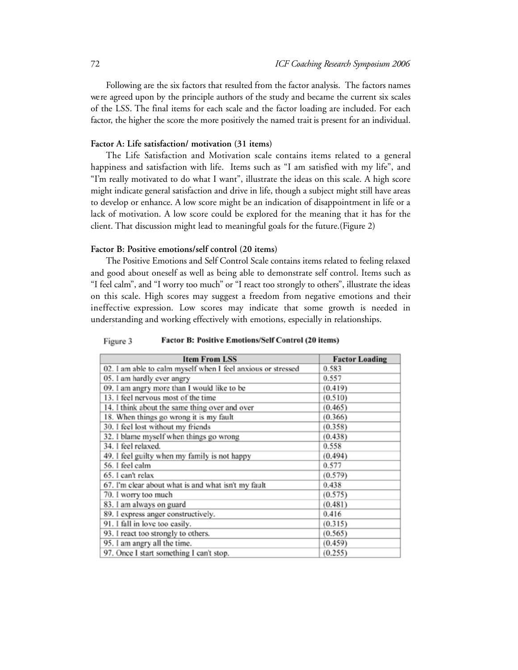Following are the six factors that resulted from the factor analysis. The factors names we re agreed upon by the principle authors of the study and became the current six scales of the LSS. The final items for each scale and the factor loading are included. For each factor, the higher the score the more positively the named trait is present for an individual.

# **Factor A: Life satisfaction/ motivation (31 items)**

The Life Satisfaction and Motivation scale contains items related to a general happiness and satisfaction with life. Items such as "I am satisfied with my life", and "I'm really motivated to do what I want", illustrate the ideas on this scale. A high score might indicate general satisfaction and drive in life, though a subject might still have areas to develop or enhance. A low score might be an indication of disappointment in life or a lack of motivation. A low score could be explored for the meaning that it has for the client. That discussion might lead to meaningful goals for the future.(Figure 2)

# **Factor B: Positive emotions/self control (20 items)**

The Positive Emotions and Self Control Scale contains items related to feeling relaxed and good about oneself as well as being able to demonstrate self control. Items such as "I feel calm", and "I worry too much" or "I react too strongly to others", illustrate the ideas on this scale. High scores may suggest a freedom from negative emotions and their in effective expression. Low scores may indicate that some growth is needed in understanding and working effectively with emotions, especially in relationships.

Factor B: Positive Emotions/Self Control (20 items) Figure 3

| <b>Item From LSS</b>                                         | <b>Factor Loading</b> |
|--------------------------------------------------------------|-----------------------|
| 02. I am able to calm myself when I feel anxious or stressed | 0.583                 |
| 05. I am hardly ever angry                                   | 0.557                 |
| 09. I am angry more than I would like to be                  | (0.419)               |
| 13. I feel nervous most of the time                          | (0.510)               |
| 14. I think about the same thing over and over               | (0.465)               |
| 18. When things go wrong it is my fault                      | (0.366)               |
| 30. I feel lost without my friends                           | (0.358)               |
| 32. I blame myself when things go wrong                      | (0.438)               |
| 34. I feel relaxed.                                          | 0.558                 |
| 49. I feel guilty when my family is not happy                | (0.494)               |
| 56. I feel calm                                              | 0.577                 |
| 65. I can't relax                                            | (0.579)               |
| 67. I'm clear about what is and what isn't my fault          | 0.438                 |
| 70. I worry too much                                         | (0.575)               |
| 83. I am always on guard                                     | (0.481)               |
| 89. I express anger constructively.                          | 0.416                 |
| 91. I fall in love too easily.                               | (0.315)               |
| 93. I react too strongly to others.                          | (0.565)               |
| 95. I am angry all the time.                                 | (0.459)               |
| 97. Once I start something I can't stop.                     | (0.255)               |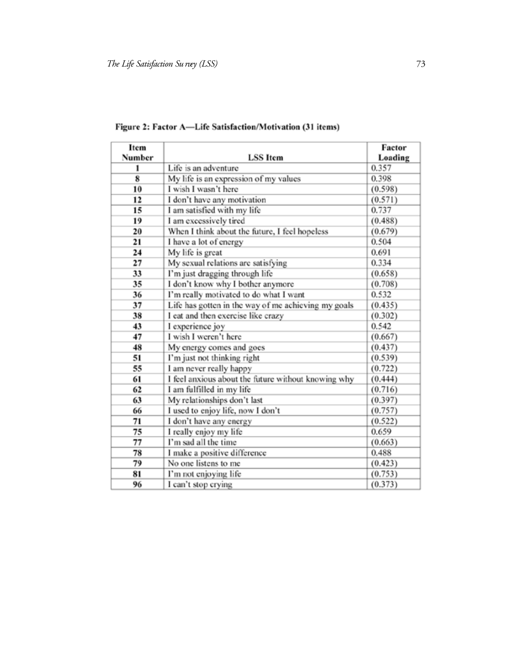| Item   |                                                     | Factor  |
|--------|-----------------------------------------------------|---------|
| Number | <b>LSS</b> Item                                     | Loading |
| 1      | Life is an adventure                                | 0.357   |
| 8      | My life is an expression of my values               | 0.398   |
| 10     | I wish I wasn't here                                | (0.598) |
| 12     | I don't have any motivation                         | (0.571) |
| 15     | I am satisfied with my life                         | 0.737   |
| 19     | I am excessively tired                              | (0.488) |
| 20     | When I think about the future, I feel hopeless      | (0.679) |
| 21     | I have a lot of energy                              | 0.504   |
| 24     | My life is great                                    | 0.691   |
| 27     | My sexual relations are satisfying                  | 0.334   |
| 33     | I'm just dragging through life                      | (0.658) |
| 35     | I don't know why I bother anymore                   | (0.708) |
| 36     | I'm really motivated to do what I want              | 0.532   |
| 37     | Life has gotten in the way of me achieving my goals | (0.435) |
| 38     | I eat and then exercise like crazy                  | (0.302) |
| 43     | I experience joy                                    | 0.542   |
| 47     | I wish I weren't here                               | (0.667) |
| 48     | My energy comes and goes                            | (0.437) |
| 51     | I'm just not thinking right                         | (0.539) |
| 55     | I am never really happy                             | (0.722) |
| 61     | I feel anxious about the future without knowing why | (0.444) |
| 62     | I am fulfilled in my life                           | (0.716) |
| 63     | My relationships don't last                         | (0.397) |
| 66     | I used to enjoy life, now I don't                   | (0.757) |
| 71     | I don't have any energy                             | (0.522) |
| 75     | I really enjoy my life                              | 0.659   |
| 77     | I'm sad all the time                                | (0.663) |
| 78     | I make a positive difference                        | 0.488   |
| 79     | No one listens to me                                | (0.423) |
| 81     | I'm not enjoying life                               | (0.753) |
| 96     | I can't stop crying                                 | (0.373) |

Figure 2: Factor A-Life Satisfaction/Motivation (31 items)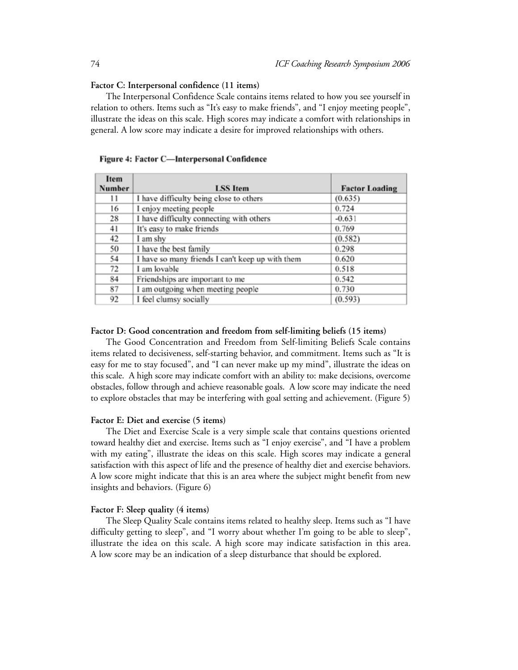#### **Factor C: Interpersonal confidence (11 items)**

The Interpersonal Confidence Scale contains items related to how you see yourself in relation to others. Items such as "It's easy to make friends", and "I enjoy meeting people", illustrate the ideas on this scale. High scores may indicate a comfort with relationships in general. A low score may indicate a desire for improved relationships with others.

| Item          |                                                  |                       |
|---------------|--------------------------------------------------|-----------------------|
| <b>Number</b> | <b>LSS</b> Item                                  | <b>Factor Loading</b> |
| 11            | I have difficulty being close to others          | (0.635)               |
| 16            | I enjoy meeting people                           | 0.724                 |
| 28            | I have difficulty connecting with others         | $-0.631$              |
| 41            | It's easy to make friends                        | 0.769                 |
| 42            | I am shy                                         | (0.582)               |
| 50            | I have the best family                           | 0.298                 |
| 54            | I have so many friends I can't keep up with them | 0.620                 |
| 72            | I am lovable                                     | 0.518                 |
| 84            | Friendships are important to me                  | 0.542                 |
| 87            | I am outgoing when meeting people                | 0.730                 |
| 92            | I feel clumsy socially                           | (0.593)               |

# Figure 4: Factor C-Interpersonal Confidence

#### **Factor D: Good concentration and freedom from self-limiting beliefs (15 items)**

The Good Concentration and Freedom from Self-limiting Beliefs Scale contains items related to decisiveness, self-starting behavior, and commitment. Items such as "It is easy for me to stay focused", and "I can never make up my mind", illustrate the ideas on this scale. A high score may indicate comfort with an ability to: make decisions, overcome obstacles, follow through and achieve reasonable goals. A low score may indicate the need to explore obstacles that may be interfering with goal setting and achievement. (Figure 5)

# **Factor E: Diet and exercise (5 items)**

The Diet and Exercise Scale is a very simple scale that contains questions oriented toward healthy diet and exercise. Items such as "I enjoy exercise", and "I have a problem with my eating", illustrate the ideas on this scale. High scores may indicate a general satisfaction with this aspect of life and the presence of healthy diet and exercise behaviors. A low score might indicate that this is an area where the subject might benefit from new insights and behaviors. (Figure 6)

#### **Factor F: Sleep quality (4 items)**

The Sleep Quality Scale contains items related to healthy sleep. Items such as "I have difficulty getting to sleep", and "I worry about whether I'm going to be able to sleep", illustrate the idea on this scale. A high score may indicate satisfaction in this area. A low score may be an indication of a sleep disturbance that should be explored.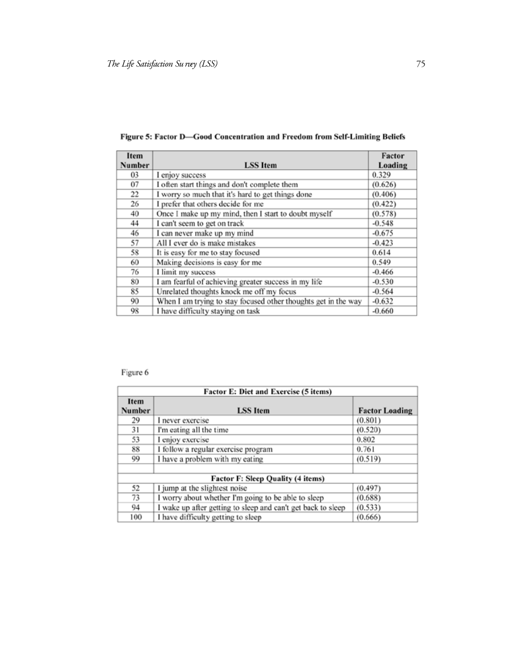| Item   |                                                                | Factor   |
|--------|----------------------------------------------------------------|----------|
| Number | <b>LSS</b> Item                                                | Loading  |
| 03     | I enjoy success                                                | 0.329    |
| 07     | I often start things and don't complete them                   | (0.626)  |
| 22     | I worry so much that it's hard to get things done              | (0.406)  |
| 26     | I prefer that others decide for me                             | (0.422)  |
| 40     | Once I make up my mind, then I start to doubt myself           | (0.578)  |
| 44     | I can't seem to get on track                                   | $-0.548$ |
| 46     | I can never make up my mind                                    | $-0.675$ |
| 57     | All I ever do is make mistakes                                 | $-0.423$ |
| 58     | It is easy for me to stay focused                              | 0.614    |
| 60     | Making decisions is easy for me                                | 0.549    |
| 76     | I limit my success                                             | $-0.466$ |
| 80     | I am fearful of achieving greater success in my life           | $-0.530$ |
| 85     | Unrelated thoughts knock me off my focus                       | $-0.564$ |
| 90     | When I am trying to stay focused other thoughts get in the way | $-0.632$ |
| 98     | I have difficulty staying on task                              | $-0.660$ |

Figure 5: Factor D-Good Concentration and Freedom from Self-Limiting Beliefs

# Figure 6

| Factor E: Diet and Exercise (5 items) |                                                              |                       |  |  |
|---------------------------------------|--------------------------------------------------------------|-----------------------|--|--|
| Item<br>Number                        | <b>LSS</b> Item                                              | <b>Factor Loading</b> |  |  |
| 29                                    | I never exercise                                             | (0.801)               |  |  |
| 31                                    | I'm eating all the time                                      | (0.520)               |  |  |
| 53                                    | I enjoy exercise                                             | 0.802                 |  |  |
| 88                                    | I follow a regular exercise program                          | 0.761                 |  |  |
| 99                                    | I have a problem with my eating                              | (0.519)               |  |  |
| Factor F: Sleep Quality (4 items)     |                                                              |                       |  |  |
| 52                                    | I jump at the slightest noise                                | (0.497)               |  |  |
| 73                                    | I worry about whether I'm going to be able to sleep          | (0.688)               |  |  |
| 94                                    | I wake up after getting to sleep and can't get back to sleep | (0.533)               |  |  |
| 100                                   | I have difficulty getting to sleep                           | (0.666)               |  |  |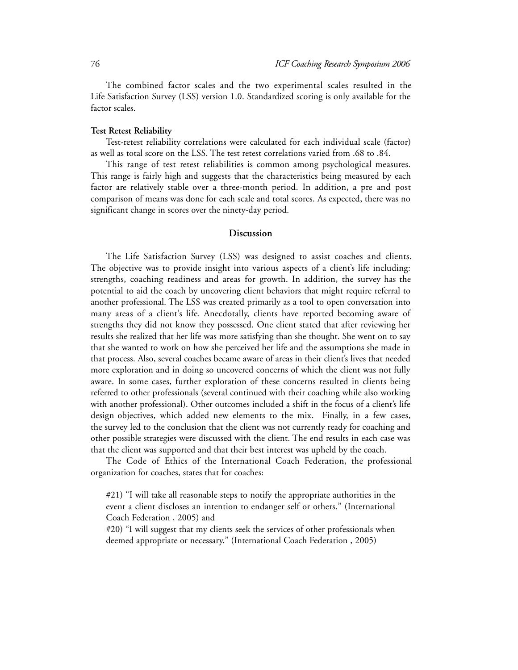The combined factor scales and the two experimental scales resulted in the Life Satisfaction Survey (LSS) version 1.0. Standardized scoring is only available for the factor scales.

#### **Test Retest Reliability**

Test-retest reliability correlations were calculated for each individual scale (factor) as well as total score on the LSS. The test retest correlations varied from .68 to .84.

This range of test retest reliabilities is common among psychological measures. This range is fairly high and suggests that the characteristics being measured by each factor are relatively stable over a three-month period. In addition, a pre and post comparison of means was done for each scale and total scores. As expected, there was no significant change in scores over the ninety-day period.

# **Discussion**

The Life Satisfaction Survey (LSS) was designed to assist coaches and clients. The objective was to provide insight into various aspects of a client's life including: strengths, coaching readiness and areas for growth. In addition, the survey has the potential to aid the coach by uncovering client behaviors that might require referral to another professional. The LSS was created primarily as a tool to open conversation into many areas of a client's life. Anecdotally, clients have reported becoming aware of strengths they did not know they possessed. One client stated that after reviewing her results she realized that her life was more satisfying than she thought. She went on to say that she wanted to work on how she perceived her life and the assumptions she made in that process. Also, several coaches became aware of areas in their client's lives that needed more exploration and in doing so uncovered concerns of which the client was not fully aware. In some cases, further exploration of these concerns resulted in clients being referred to other professionals (several continued with their coaching while also working with another professional). Other outcomes included a shift in the focus of a client's life design objectives, which added new elements to the mix. Finally, in a few cases, the survey led to the conclusion that the client was not currently ready for coaching and other possible strategies were discussed with the client. The end results in each case was that the client was supported and that their best interest was upheld by the coach.

The Code of Ethics of the International Coach Federation, the professional organization for coaches, states that for coaches:

#21) "I will take all reasonable steps to notify the appropriate authorities in the event a client discloses an intention to endanger self or others." (International Coach Federation , 2005) and

#20) "I will suggest that my clients seek the services of other professionals when deemed appropriate or necessary." (International Coach Federation , 2005)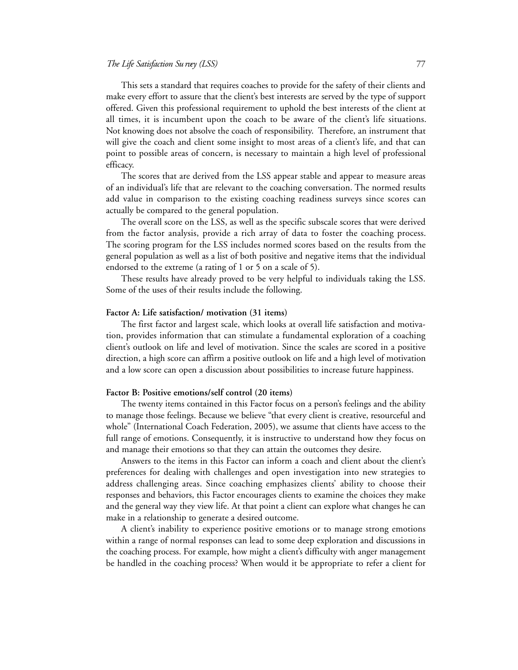This sets a standard that requires coaches to provide for the safety of their clients and make every effort to assure that the client's best interests are served by the type of support offered. Given this professional requirement to uphold the best interests of the client at all times, it is incumbent upon the coach to be aware of the client's life situations. Not knowing does not absolve the coach of responsibility. Therefore, an instrument that will give the coach and client some insight to most areas of a client's life, and that can point to possible areas of concern, is necessary to maintain a high level of professional efficacy.

The scores that are derived from the LSS appear stable and appear to measure areas of an individual's life that are relevant to the coaching conversation. The normed results add value in comparison to the existing coaching readiness surveys since scores can actually be compared to the general population.

The overall score on the LSS, as well as the specific subscale scores that were derived from the factor analysis, provide a rich array of data to foster the coaching process. The scoring program for the LSS includes normed scores based on the results from the general population as well as a list of both positive and negative items that the individual endorsed to the extreme (a rating of 1 or 5 on a scale of 5).

These results have already proved to be very helpful to individuals taking the LSS. Some of the uses of their results include the following.

# **Factor A: Life satisfaction/ motivation (31 items)**

The first factor and largest scale, which looks at overall life satisfaction and motivation, provides information that can stimulate a fundamental exploration of a coaching client's outlook on life and level of motivation. Since the scales are scored in a positive direction, a high score can affirm a positive outlook on life and a high level of motivation and a low score can open a discussion about possibilities to increase future happiness.

#### **Factor B: Positive emotions/self control (20 items)**

The twenty items contained in this Factor focus on a person's feelings and the ability to manage those feelings. Because we believe "that every client is creative, resourceful and whole" (International Coach Federation, 2005), we assume that clients have access to the full range of emotions. Consequently, it is instructive to understand how they focus on and manage their emotions so that they can attain the outcomes they desire.

Answers to the items in this Factor can inform a coach and client about the client's preferences for dealing with challenges and open investigation into new strategies to address challenging areas. Since coaching emphasizes clients' ability to choose their responses and behaviors, this Factor encourages clients to examine the choices they make and the general way they view life. At that point a client can explore what changes he can make in a relationship to generate a desired outcome.

A client's inability to experience positive emotions or to manage strong emotions within a range of normal responses can lead to some deep exploration and discussions in the coaching process. For example, how might a client's difficulty with anger management be handled in the coaching process? When would it be appropriate to refer a client for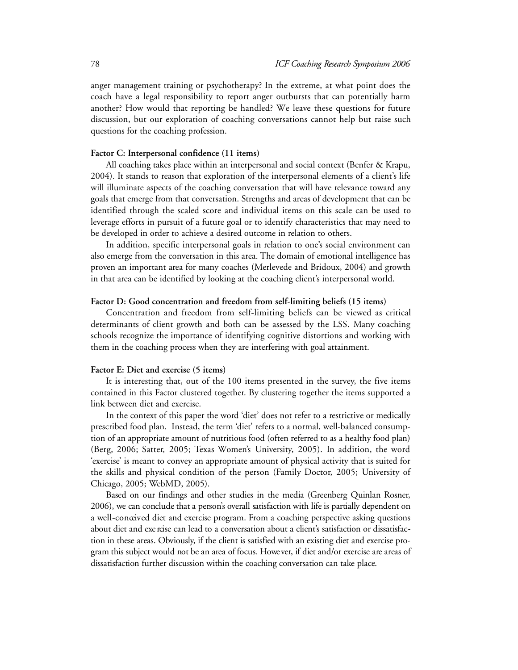anger management training or psychotherapy? In the extreme, at what point does the coach have a legal responsibility to report anger outbursts that can potentially harm another? How would that reporting be handled? We leave these questions for future discussion, but our exploration of coaching conversations cannot help but raise such questions for the coaching profession.

## **Factor C: Interpersonal confidence (11 items)**

All coaching takes place within an interpersonal and social context (Benfer & Krapu, 2004). It stands to reason that exploration of the interpersonal elements of a client's life will illuminate aspects of the coaching conversation that will have relevance toward any goals that emerge from that conversation. Strengths and areas of development that can be identified through the scaled score and individual items on this scale can be used to leverage efforts in pursuit of a future goal or to identify characteristics that may need to be developed in order to achieve a desired outcome in relation to others.

In addition, specific interpersonal goals in relation to one's social environment can also emerge from the conversation in this area. The domain of emotional intelligence has proven an important area for many coaches (Merlevede and Bridoux, 2004) and growth in that area can be identified by looking at the coaching client's interpersonal world.

# **Factor D: Good concentration and freedom from self-limiting beliefs (15 items)**

Concentration and freedom from self-limiting beliefs can be viewed as critical determinants of client growth and both can be assessed by the LSS. Many coaching schools recognize the importance of identifying cognitive distortions and working with them in the coaching process when they are interfering with goal attainment.

#### **Factor E: Diet and exercise (5 items)**

It is interesting that, out of the 100 items presented in the survey, the five items contained in this Factor clustered together. By clustering together the items supported a link between diet and exercise.

In the context of this paper the word 'diet' does not refer to a restrictive or medically prescribed food plan. Instead, the term 'diet' refers to a normal, well-balanced consumption of an appropriate amount of nutritious food (often referred to as a healthy food plan) (Berg, 2006; Satter, 2005; Texas Women's University, 2005). In addition, the word 'exercise' is meant to convey an appropriate amount of physical activity that is suited for the skills and physical condition of the person (Family Doctor, 2005; University of Chicago, 2005; WebMD, 2005).

Based on our findings and other studies in the media (Greenberg Quinlan Rosner, 2006), we can conclude that a person's overall satisfaction with life is partially dependent on a well-conceived diet and exercise program. From a coaching perspective asking questions about diet and exe rase can lead to a conversation about a client's satisfaction or dissatisfaction in these areas. Obviously, if the client is satisfied with an existing diet and exercise program this subject would not be an area of focus. Howe ver, if diet and/or exercise are areas of dissatisfaction further discussion within the coaching conversation can take place.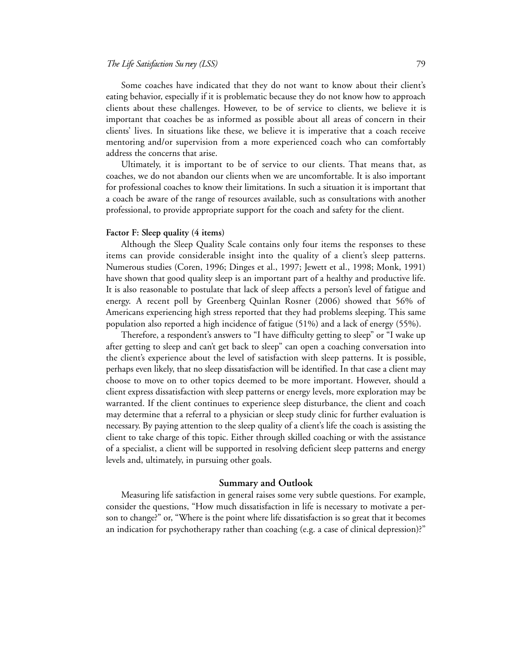#### *The Life Satisfaction Su rvey (LSS)* 7 9

Some coaches have indicated that they do not want to know about their client's eating behavior, especially if it is problematic because they do not know how to approach clients about these challenges. However, to be of service to clients, we believe it is important that coaches be as informed as possible about all areas of concern in their clients' lives. In situations like these, we believe it is imperative that a coach receive mentoring and/or supervision from a more experienced coach who can comfortably address the concerns that arise.

Ultimately, it is important to be of service to our clients. That means that, as coaches, we do not abandon our clients when we are uncomfortable. It is also important for professional coaches to know their limitations. In such a situation it is important that a coach be aware of the range of resources available, such as consultations with another professional, to provide appropriate support for the coach and safety for the client.

# **Factor F: Sleep quality (4 items)**

Although the Sleep Quality Scale contains only four items the responses to these items can provide considerable insight into the quality of a client's sleep patterns. Numerous studies (Coren, 1996; Dinges et al., 1997; Jewett et al., 1998; Monk, 1991) have shown that good quality sleep is an important part of a healthy and productive life. It is also reasonable to postulate that lack of sleep affects a person's level of fatigue and energy. A recent poll by Greenberg Quinlan Rosner (2006) showed that 56% of Americans experiencing high stress reported that they had problems sleeping. This same population also reported a high incidence of fatigue (51%) and a lack of energy (55%).

Therefore, a respondent's answers to "I have difficulty getting to sleep" or "I wake up after getting to sleep and can't get back to sleep" can open a coaching conversation into the client's experience about the level of satisfaction with sleep patterns. It is possible, perhaps even likely, that no sleep dissatisfaction will be identified. In that case a client may choose to move on to other topics deemed to be more important. However, should a client express dissatisfaction with sleep patterns or energy levels, more exploration may be warranted. If the client continues to experience sleep disturbance, the client and coach may determine that a referral to a physician or sleep study clinic for further evaluation is necessary. By paying attention to the sleep quality of a client's life the coach is assisting the client to take charge of this topic. Either through skilled coaching or with the assistance of a specialist, a client will be supported in resolving deficient sleep patterns and energy levels and, ultimately, in pursuing other goals.

# **Summary and Outlook**

Measuring life satisfaction in general raises some very subtle questions. For example, consider the questions, "How much dissatisfaction in life is necessary to motivate a person to change?" or, "Where is the point where life dissatisfaction is so great that it becomes an indication for psychotherapy rather than coaching (e.g. a case of clinical depression)?"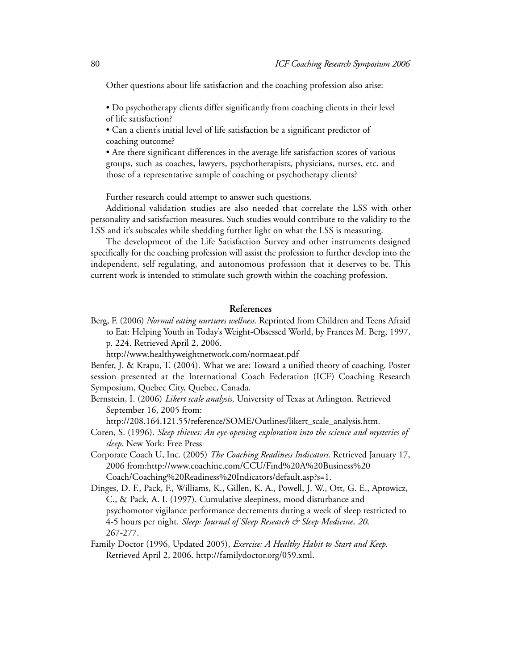Other questions about life satisfaction and the coaching profession also arise:

• Do psychotherapy clients differ significantly from coaching clients in their level of life satisfaction?

• Can a client's initial level of life satisfaction be a significant predictor of coaching outcome?

• Are there significant differences in the average life satisfaction scores of various groups, such as coaches, lawyers, psychotherapists, physicians, nurses, etc. and those of a representative sample of coaching or psychotherapy clients?

Further research could attempt to answer such questions.

Additional validation studies are also needed that correlate the LSS with other personality and satisfaction measures. Such studies would contribute to the validity to the LSS and it's subscales while shedding further light on what the LSS is measuring.

The development of the Life Satisfaction Survey and other instruments designed specifically for the coaching profession will assist the profession to further develop into the independent, self regulating, and autonomous profession that it deserves to be. This current work is intended to stimulate such growth within the coaching profession.

# **References**

Berg, F. (2006) *Normal eating nurtures wellness.* Reprinted from Children and Teens Afraid to Eat: Helping Youth in Today's Weight-Obsessed World, by Frances M. Berg, 1997, p. 224. Retrieved April 2, 2006.

http://www.healthyweightnetwork.com/normaeat.pdf

Benfer, J. & Krapu, T. (2004). What we are: Toward a unified theory of coaching. Poster session presented at the International Coach Federation (ICF) Coaching Research Symposium, Quebec City, Quebec, Canada.

Bernstein, I. (2006) *Likert scale analysis,* University of Texas at Arlington. Retrieved September 16, 2005 from:

http://208.164.121.55/reference/SOME/Outlines/likert\_scale\_analysis.htm.

Coren, S. (1996). *Sleep thieves: An eye-opening exploration into the science and mysteries of sleep.* New York: Free Press

Corporate Coach U, Inc. (2005) *The Coaching Readiness Indicators.* Retrieved January 17, 2006 from:http://www.coachinc.com/CCU/Find%20A%20Business%20 Coach/Coaching%20Readiness%20Indicators/default.asp?s=1.

- Dinges, D. F., Pack, F., Williams, K., Gillen, K. A., Powell, J. W., Ott, G. E., Aptowicz, C., & Pack, A. I. (1997). Cumulative sleepiness, mood disturbance and psychomotor vigilance performance decrements during a week of sleep restricted to 4-5 hours per night. *Sleep: Journal of Sleep Research & Sleep Medicine, 20,* 267-277.
- Family Doctor (1996, Updated 2005), *Exercise: A Healthy Habit to Start and Keep.* Retrieved April 2, 2006. http://familydoctor.org/059.xml.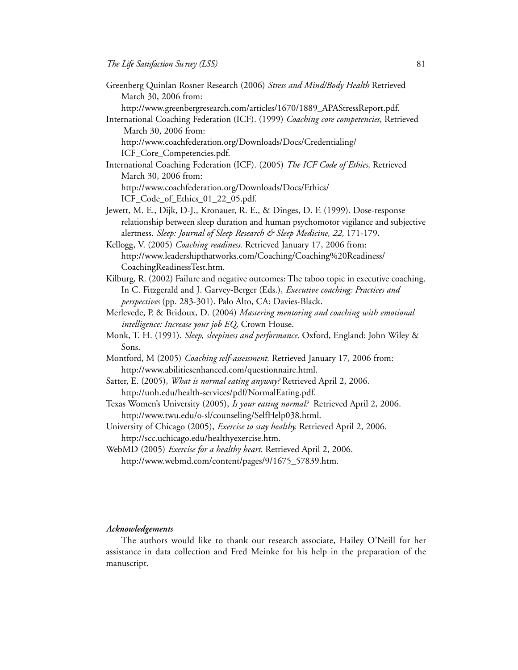- Greenberg Quinlan Rosner Research (2006) *Stress and Mind/Body Health* Retrieved March 30, 2006 from:
	- http://www.greenbergresearch.com/articles/1670/1889\_APAStressReport.pdf.
- International Coaching Federation (ICF). (1999) *Coaching core competencies,* Retrieved March 30, 2006 from:
	- http://www.coachfederation.org/Downloads/Docs/Credentialing/ ICF\_Core\_Competencies.pdf.
- International Coaching Federation (ICF). (2005) *The ICF Code of Ethics,* Retrieved March 30, 2006 from: http://www.coachfederation.org/Downloads/Docs/Ethics/ ICF\_Code\_of\_Ethics\_01\_22\_05.pdf.
- Jewett, M. E., Dijk, D-J., Kronauer, R. E., & Dinges, D. F. (1999). Dose-response relationship between sleep duration and human psychomotor vigilance and subjective alertness. *Sleep: Journal of Sleep Research & Sleep Medicine, 22,* 171-179.

Kellogg, V. (2005) *Coaching readiness.* Retrieved January 17, 2006 from: http://www.leadershipthatworks.com/Coaching/Coaching%20Readiness/ CoachingReadinessTest.htm.

- Kilburg, R. (2002) Failure and negative outcomes: The taboo topic in executive coaching. In C. Fitzgerald and J. Garvey-Berger (Eds.), *Executive coaching: Practices and perspectives* (pp. 283-301). Palo Alto, CA: Davies-Black.
- Merlevede, P. & Bridoux, D. (2004) *Mastering mentoring and coaching with emotional intelligence: Increase your job EQ,* Crown House.
- Monk, T. H. (1991). *Sleep, sleepiness and performance.* Oxford, England: John Wiley & Sons.
- Montford, M (2005) *Coaching self-assessment.* Retrieved January 17, 2006 from: http://www.abilitiesenhanced.com/questionnaire.html.
- Satter, E. (2005), *What is normal eating anyway?* Retrieved April 2, 2006. http://unh.edu/health-services/pdf/NormalEating.pdf.
- Texas Women's University (2005), *Is your eating normal?* Retrieved April 2, 2006. http://www.twu.edu/o-sl/counseling/SelfHelp038.html.
- University of Chicago (2005), *Exercise to stay healthy.* Retrieved April 2, 2006. http://scc.uchicago.edu/healthyexercise.htm.
- WebMD (2005) *Exercise for a healthy heart.* Retrieved April 2, 2006. http://www.webmd.com/content/pages/9/1675\_57839.htm.

#### *Acknowledgements*

The authors would like to thank our research associate, Hailey O'Neill for her assistance in data collection and Fred Meinke for his help in the preparation of the manuscript.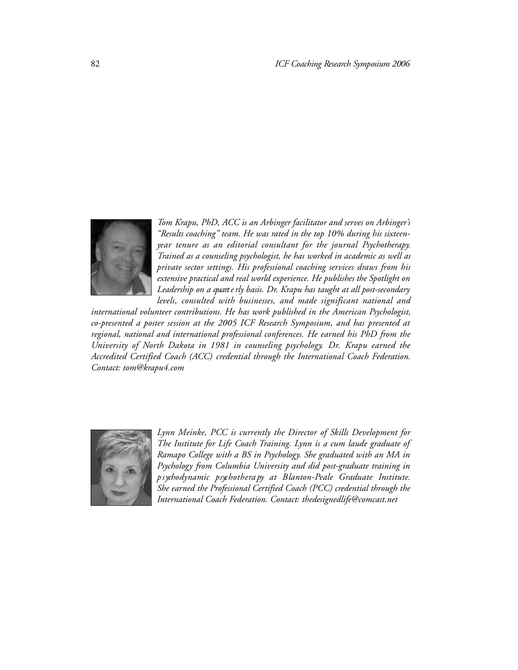

*Tom Krapu, PhD, ACC is an Arbinger facilitator and serves on Arbinger's "Results coaching" team. He was rated in the top 10% during his sixteenyear tenure as an editorial consultant for the journal Psychotherapy. Trained as a counseling psychologist, he has worked in academic as well as private sector settings. His professional coaching services draws from his extensive practical and real world experience. He publishes the Spotlight on Leadership on a quart e rly basis. Dr. Krapu has taught at all post-secondary levels, consulted with businesses, and made significant national and* 

*international volunteer contributions. He has work published in the American Psychologist, co-presented a poster session at the 2005 ICF Research Symposium, and has presented at regional, national and international professional conferences. He earned his PhD from the University of North Dakota in 1981 in counseling psychology. Dr. Krapu earned the Accredited Certified Coach (ACC) credential through the International Coach Federation. Contact: tom@krapu4.com*



*Lynn Meinke, PCC is currently the Director of Skills Development for The Institute for Life Coach Training. Lynn is a cum laude graduate of Ramapo College with a BS in Psychology. She graduated with an MA in Psychology from Columbia University and did post-graduate training in p s ychodynamic psyc h o t h e ra py at Bl a n t o n - Peale Graduate Institute. She earned the Professional Certified Coach (PCC) credential through the International Coach Federation. Contact: thedesignedlife@comcast.net*